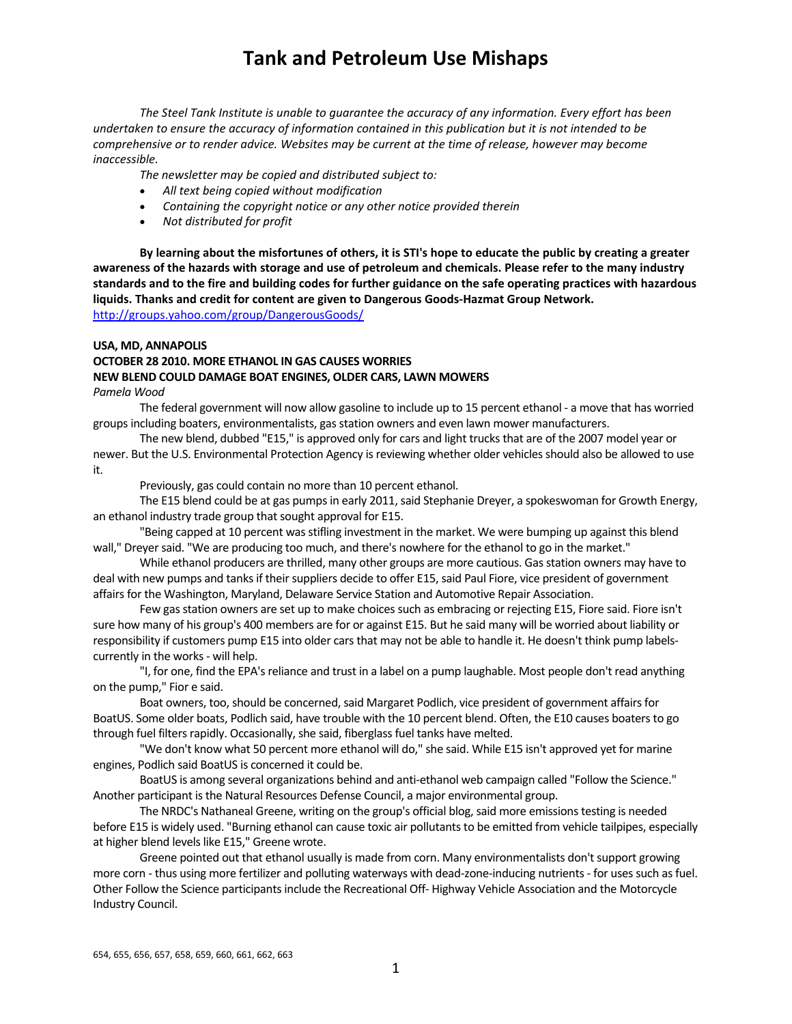*The Steel Tank Institute is unable to guarantee the accuracy of any information. Every effort has been* undertaken to ensure the accuracy of information contained in this publication but it is not intended to be *comprehensive or to render advice. Websites may be current at the time of release, however may become inaccessible.*

*The newsletter may be copied and distributed subject to:*

- *All text being copied without modification*
- *Containing the copyright notice or any other notice provided therein*
- *Not distributed for profit*

By learning about the misfortunes of others, it is STI's hope to educate the public by creating a greater awareness of the hazards with storage and use of petroleum and chemicals. Please refer to the many industry standards and to the fire and building codes for further guidance on the safe operating practices with hazardous **liquids. Thanks and credit for content are given to Dangerous Goods‐Hazmat Group Network.**  http://groups.yahoo.com/group/DangerousGoods/

#### **USA, MD, ANNAPOLIS**

### **OCTOBER 28 2010. MORE ETHANOL IN GAS CAUSES WORRIES NEW BLEND COULD DAMAGE BOAT ENGINES, OLDER CARS, LAWN MOWERS**

*Pamela Wood*

The federal government will now allow gasoline to include up to 15 percent ethanol ‐ a move that has worried groupsincluding boaters, environmentalists, gasstation owners and even lawn mower manufacturers.

The new blend, dubbed "E15," is approved only for cars and light trucks that are of the 2007 model year or newer. But the U.S. Environmental Protection Agency is reviewing whether older vehicles should also be allowed to use it.

Previously, gas could contain no more than 10 percent ethanol.

The E15 blend could be at gas pumps in early 2011, said Stephanie Dreyer, a spokeswoman for Growth Energy, an ethanol industry trade group that sought approval for E15.

"Being capped at 10 percent was stifling investment in the market. We were bumping up against this blend wall," Dreyer said. "We are producing too much, and there's nowhere for the ethanol to go in the market."

While ethanol producers are thrilled, many other groups are more cautious. Gas station owners may have to deal with new pumps and tanks if their suppliers decide to offer E15, said Paul Fiore, vice president of government affairs for the Washington, Maryland, Delaware Service Station and Automotive Repair Association.

Few gas station owners are set up to make choices such as embracing or rejecting E15, Fiore said. Fiore isn't sure how many of his group's 400 members are for or against E15. But he said many will be worried about liability or responsibility if customers pump E15 into older cars that may not be able to handle it. He doesn't think pump labelscurrently in the works ‐ will help.

"I, for one, find the EPA'sreliance and trust in a label on a pump laughable. Most people don't read anything on the pump," Fior e said.

Boat owners, too, should be concerned, said Margaret Podlich, vice president of government affairs for BoatUS. Some older boats, Podlich said, have trouble with the 10 percent blend. Often, the E10 causes boaters to go through fuel filters rapidly. Occasionally, she said, fiberglass fuel tanks have melted.

"We don't know what 50 percent more ethanol will do," she said. While E15 isn't approved yet for marine engines, Podlich said BoatUS is concerned it could be.

BoatUS is among several organizations behind and anti‐ethanol web campaign called "Follow the Science." Another participant is the Natural Resources Defense Council, a major environmental group.

The NRDC's Nathaneal Greene, writing on the group's official blog, said more emissions testing is needed before E15 is widely used. "Burning ethanol can cause toxic air pollutants to be emitted from vehicle tailpipes, especially at higher blend levels like E15," Greene wrote.

Greene pointed out that ethanol usually is made from corn. Many environmentalists don't support growing more corn - thus using more fertilizer and polluting waterways with dead-zone-inducing nutrients - for uses such as fuel. Other Follow the Science participants include the Recreational Off- Highway Vehicle Association and the Motorcycle Industry Council.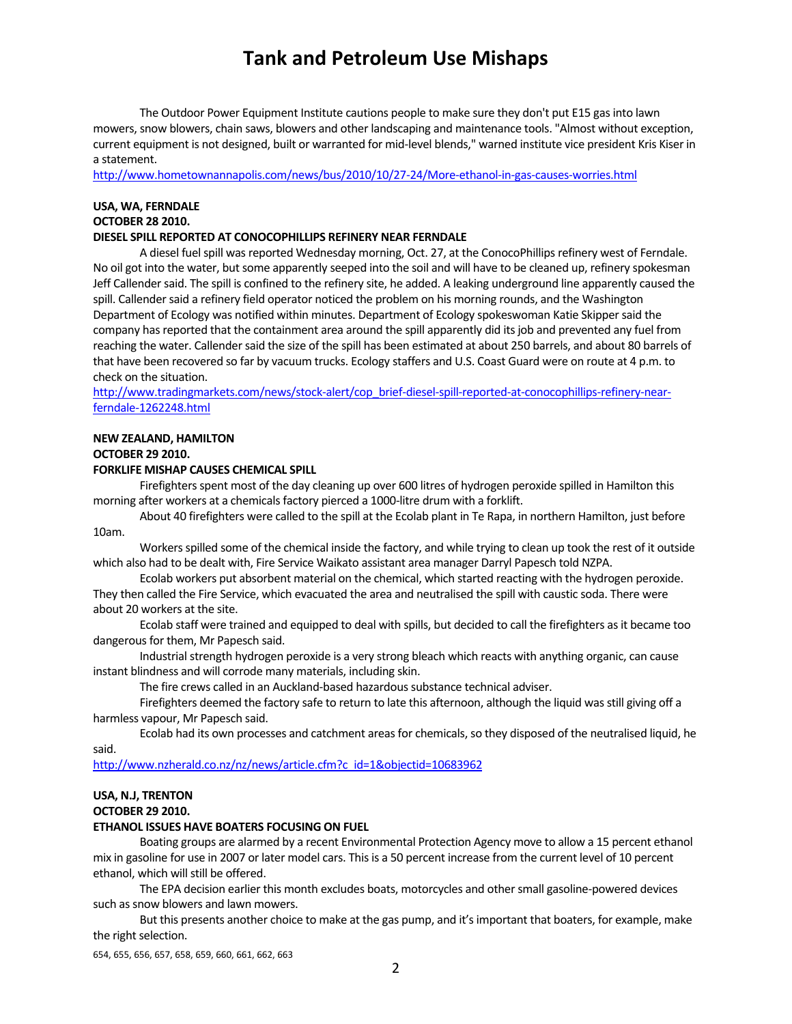The Outdoor Power Equipment Institute cautions people to make sure they don't put E15 gas into lawn mowers, snow blowers, chain saws, blowers and other landscaping and maintenance tools. "Almost without exception, current equipment is not designed, built or warranted for mid-level blends," warned institute vice president Kris Kiser in a statement.

http://www.hometownannapolis.com/news/bus/2010/10/27-24/More-ethanol-in-gas-causes-worries.html

### **USA, WA, FERNDALE OCTOBER 28 2010.**

#### **DIESEL SPILL REPORTED AT CONOCOPHILLIPS REFINERY NEAR FERNDALE**

A diesel fuel spill was reported Wednesday morning, Oct. 27, at the ConocoPhillips refinery west of Ferndale. No oil got into the water, but some apparently seeped into the soil and will have to be cleaned up, refinery spokesman Jeff Callender said. The spill is confined to the refinery site, he added. A leaking underground line apparently caused the spill. Callender said a refinery field operator noticed the problem on his morning rounds, and the Washington Department of Ecology was notified within minutes. Department of Ecology spokeswoman Katie Skippersaid the company has reported that the containment area around the spill apparently did its job and prevented any fuel from reaching the water. Callender said the size of the spill has been estimated at about 250 barrels, and about 80 barrels of that have been recovered so far by vacuum trucks. Ecology staffers and U.S. Coast Guard were on route at 4 p.m. to check on the situation.

http://www.tradingmarkets.com/news/stock-alert/cop\_brief-diesel-spill-reported-at-conocophillips-refinery-nearferndale‐1262248.html

#### **NEW ZEALAND, HAMILTON**

### **OCTOBER 29 2010.**

#### **FORKLIFE MISHAP CAUSES CHEMICAL SPILL**

Firefighters spent most of the day cleaning up over 600 litres of hydrogen peroxide spilled in Hamilton this morning after workers at a chemicals factory pierced a 1000-litre drum with a forklift.

About 40 firefighters were called to the spill at the Ecolab plant in Te Rapa, in northern Hamilton, just before 10am.

Workers spilled some of the chemical inside the factory, and while trying to clean up took the rest of it outside which also had to be dealt with, Fire Service Waikato assistant area manager Darryl Papesch told NZPA.

Ecolab workers put absorbent material on the chemical, which started reacting with the hydrogen peroxide. They then called the Fire Service, which evacuated the area and neutralised the spill with caustic soda. There were about 20 workers at the site.

Ecolab staff were trained and equipped to deal with spills, but decided to call the firefighters as it became too dangerous for them, Mr Papesch said.

Industrial strength hydrogen peroxide is a very strong bleach which reacts with anything organic, can cause instant blindness and will corrode many materials, including skin.

The fire crews called in an Auckland-based hazardous substance technical adviser.

Firefighters deemed the factory safe to return to late this afternoon, although the liquid wasstill giving off a harmless vapour, Mr Papesch said.

Ecolab had its own processes and catchment areas for chemicals, so they disposed of the neutralised liquid, he said.

http://www.nzherald.co.nz/nz/news/article.cfm?c\_id=1&objectid=10683962

### **USA, N.J, TRENTON**

#### **OCTOBER 29 2010.**

#### **ETHANOL ISSUES HAVE BOATERS FOCUSING ON FUEL**

Boating groups are alarmed by a recent Environmental Protection Agency move to allow a 15 percent ethanol mix in gasoline for use in 2007 or later model cars. This is a 50 percent increase from the current level of 10 percent ethanol, which will still be offered.

The EPA decision earlier this month excludes boats, motorcycles and other small gasoline-powered devices such as snow blowers and lawn mowers.

But this presents another choice to make at the gas pump, and it'simportant that boaters, for example, make the right selection.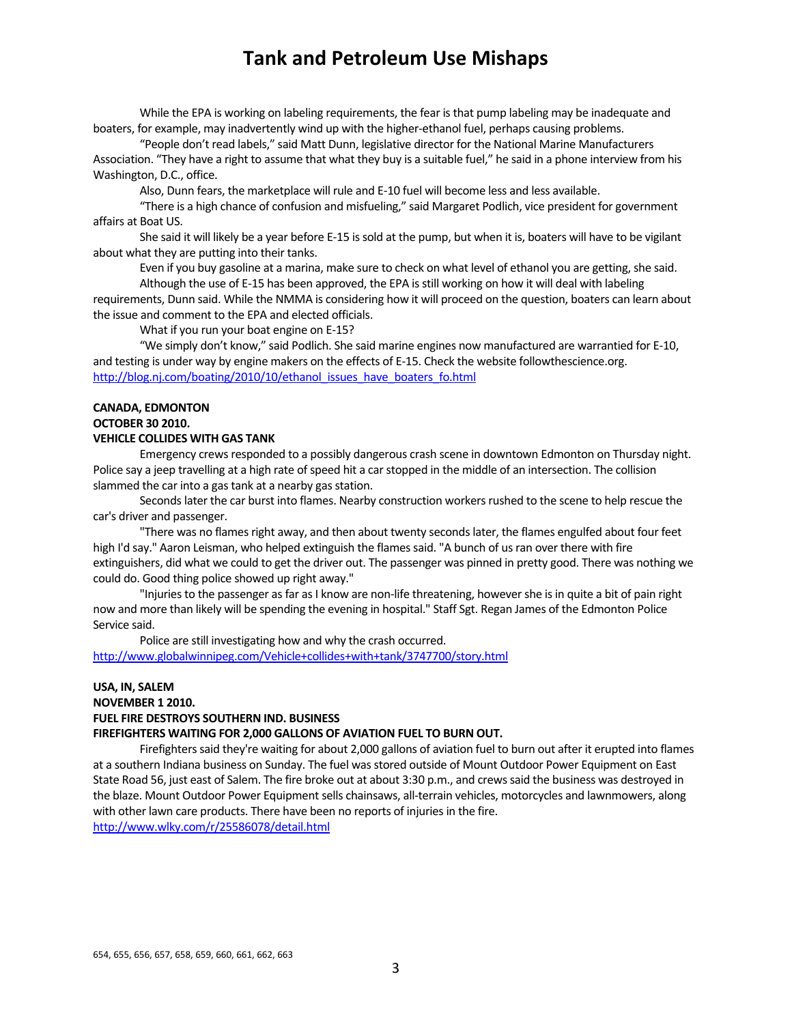While the EPA is working on labeling requirements, the fear isthat pump labeling may be inadequate and boaters, for example, may inadvertently wind up with the higher‐ethanol fuel, perhaps causing problems.

"People don't read labels," said Matt Dunn, legislative director for the National Marine Manufacturers Association. "They have a right to assume that what they buy is a suitable fuel," he said in a phone interview from his Washington, D.C., office.

Also, Dunn fears, the marketplace will rule and E‐10 fuel will become less and less available.

"There is a high chance of confusion and misfueling," said Margaret Podlich, vice president for government affairs at Boat US.

She said it will likely be a year before E-15 is sold at the pump, but when it is, boaters will have to be vigilant about what they are putting into their tanks.

Even if you buy gasoline at a marina, make sure to check on what level of ethanol you are getting, she said.

Although the use of E-15 has been approved, the EPA is still working on how it will deal with labeling requirements, Dunn said. While the NMMA is considering how it will proceed on the question, boaters can learn about the issue and comment to the EPA and elected officials.

What if you run your boat engine on E‐15?

"We simply don't know," said Podlich. She said marine engines now manufactured are warrantied for E‐10, and testing is under way by engine makers on the effects of E-15. Check the website followthescience.org. http://blog.nj.com/boating/2010/10/ethanol\_issues\_have\_boaters\_fo.html

#### **CANADA, EDMONTON OCTOBER 30 2010. VEHICLE COLLIDES WITH GAS TANK**

Emergency crews responded to a possibly dangerous crash scene in downtown Edmonton on Thursday night. Police say a jeep travelling at a high rate of speed hit a car stopped in the middle of an intersection. The collision slammed the car into a gas tank at a nearby gas station.

Seconds later the car burst into flames. Nearby construction workers rushed to the scene to help rescue the car's driver and passenger.

"There was no flames right away, and then about twenty seconds later, the flames engulfed about four feet high I'd say." Aaron Leisman, who helped extinguish the flames said. "A bunch of us ran over there with fire extinguishers, did what we could to get the driver out. The passenger was pinned in pretty good. There was nothing we could do. Good thing police showed up right away."

"Injuries to the passenger as far as I know are non-life threatening, however she is in quite a bit of pain right now and more than likely will be spending the evening in hospital." Staff Sgt. Regan James of the Edmonton Police Service said.

Police are still investigating how and why the crash occurred.

http://www.globalwinnipeg.com/Vehicle+collides+with+tank/3747700/story.html

### **USA, IN, SALEM NOVEMBER 1 2010.**

### **FUEL FIRE DESTROYS SOUTHERN IND. BUSINESS**

#### **FIREFIGHTERS WAITING FOR 2,000 GALLONS OF AVIATION FUEL TO BURN OUT.**

Firefighters said they're waiting for about 2,000 gallons of aviation fuel to burn out after it erupted into flames at a southern Indiana business on Sunday. The fuel wasstored outside of Mount Outdoor Power Equipment on East State Road 56, just east of Salem. The fire broke out at about 3:30 p.m., and crews said the business was destroyed in the blaze. Mount Outdoor Power Equipment sells chainsaws, all-terrain vehicles, motorcycles and lawnmowers, along with other lawn care products. There have been no reports of injuries in the fire. http://www.wlky.com/r/25586078/detail.html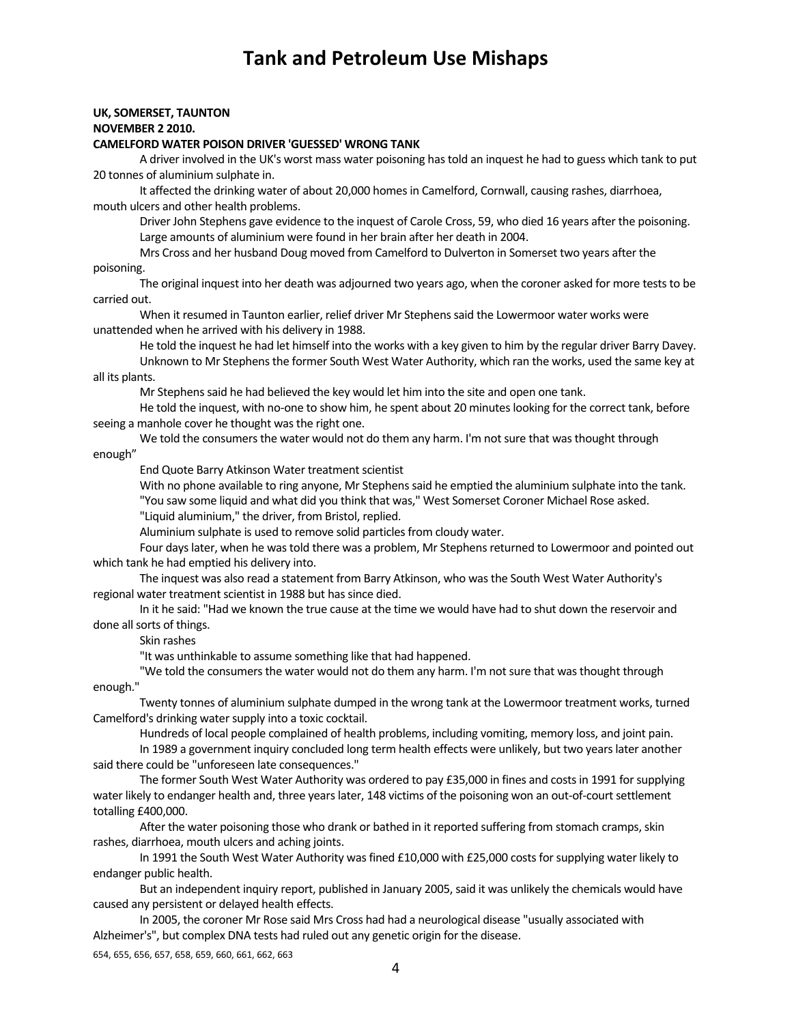### **UK, SOMERSET, TAUNTON**

**NOVEMBER 2 2010.** 

#### **CAMELFORD WATER POISON DRIVER 'GUESSED' WRONG TANK**

A driver involved in the UK's worst mass water poisoning hastold an inquest he had to guess which tank to put 20 tonnes of aluminium sulphate in.

It affected the drinking water of about 20,000 homes in Camelford, Cornwall, causing rashes, diarrhoea, mouth ulcers and other health problems.

Driver John Stephens gave evidence to the inquest of Carole Cross, 59, who died 16 years after the poisoning. Large amounts of aluminium were found in her brain after her death in 2004.

Mrs Cross and her husband Doug moved from Camelford to Dulverton in Somerset two years after the poisoning.

The original inquest into her death was adjourned two years ago, when the coroner asked for more tests to be carried out.

When it resumed in Taunton earlier, relief driver Mr Stephens said the Lowermoor water works were unattended when he arrived with his delivery in 1988.

He told the inquest he had let himself into the works with a key given to him by the regular driver Barry Davey.

Unknown to Mr Stephens the former South West Water Authority, which ran the works, used the same key at all its plants.

Mr Stephens said he had believed the key would let him into the site and open one tank.

He told the inquest, with no-one to show him, he spent about 20 minutes looking for the correct tank, before seeing a manhole cover he thought was the right one.

We told the consumers the water would not do them any harm. I'm not sure that was thought through enough"

End Quote Barry Atkinson Water treatment scientist

With no phone available to ring anyone, Mr Stephens said he emptied the aluminium sulphate into the tank.

"You saw some liquid and what did you think that was," West Somerset Coroner Michael Rose asked.

"Liquid aluminium," the driver, from Bristol, replied.

Aluminium sulphate is used to remove solid particles from cloudy water.

Four days later, when he was told there was a problem, Mr Stephens returned to Lowermoor and pointed out which tank he had emptied his delivery into.

The inquest was also read a statement from Barry Atkinson, who was the South West Water Authority's regional water treatment scientist in 1988 but has since died.

In it he said: "Had we known the true cause at the time we would have had to shut down the reservoir and done all sorts of things.

Skin rashes

"It was unthinkable to assume something like that had happened.

"We told the consumers the water would not do them any harm. I'm not sure that was thought through enough."

Twenty tonnes of aluminium sulphate dumped in the wrong tank at the Lowermoor treatment works, turned Camelford's drinking water supply into a toxic cocktail.

Hundreds of local people complained of health problems, including vomiting, memory loss, and joint pain.

In 1989 a government inquiry concluded long term health effects were unlikely, but two yearslater another said there could be "unforeseen late consequences."

The former South West Water Authority was ordered to pay £35,000 in fines and costs in 1991 for supplying water likely to endanger health and, three years later, 148 victims of the poisoning won an out-of-court settlement totalling £400,000.

After the water poisoning those who drank or bathed in it reported suffering from stomach cramps, skin rashes, diarrhoea, mouth ulcers and aching joints.

In 1991 the South West Water Authority was fined £10,000 with £25,000 costs for supplying water likely to endanger public health.

But an independent inquiry report, published in January 2005, said it was unlikely the chemicals would have caused any persistent or delayed health effects.

In 2005, the coroner Mr Rose said Mrs Cross had had a neurological disease "usually associated with Alzheimer's", but complex DNA tests had ruled out any genetic origin for the disease.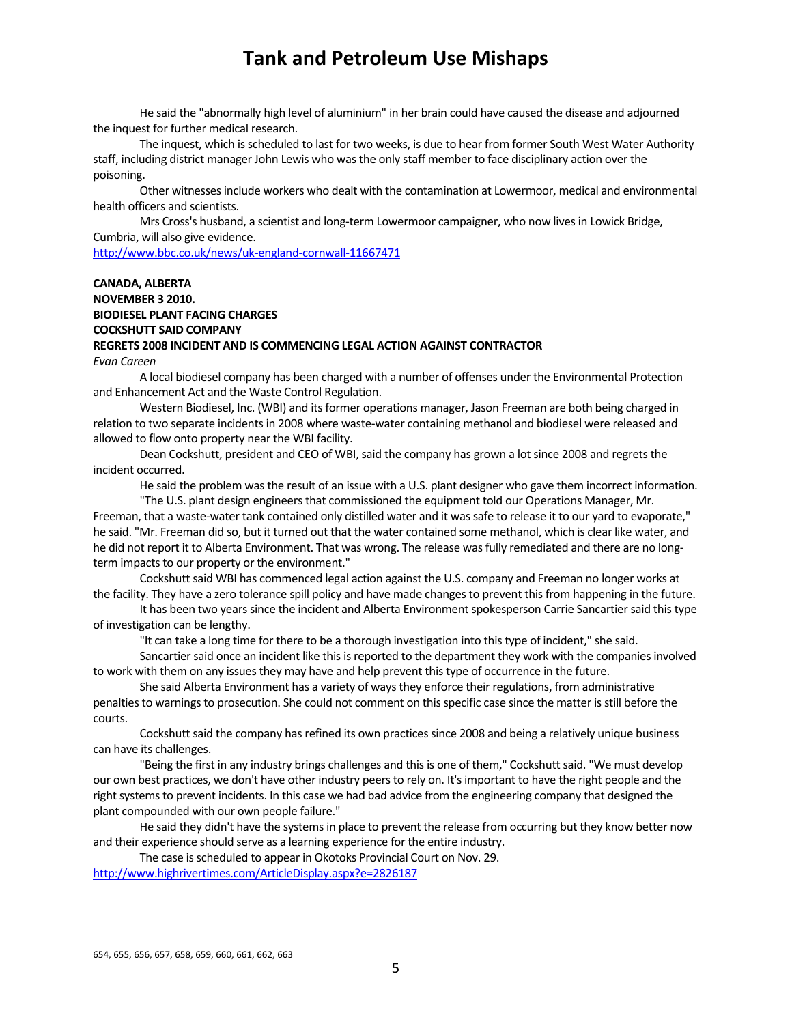He said the "abnormally high level of aluminium" in her brain could have caused the disease and adjourned the inquest for further medical research.

The inquest, which is scheduled to last for two weeks, is due to hear from former South West Water Authority staff, including district manager John Lewis who wasthe only staff member to face disciplinary action over the poisoning.

Other witnessesinclude workers who dealt with the contamination at Lowermoor, medical and environmental health officers and scientists.

Mrs Cross's husband, a scientist and long‐term Lowermoor campaigner, who now livesin Lowick Bridge, Cumbria, will also give evidence.

http://www.bbc.co.uk/news/uk‐england‐cornwall‐11667471

### **CANADA, ALBERTA NOVEMBER 3 2010. BIODIESEL PLANT FACING CHARGES COCKSHUTT SAID COMPANY**

#### **REGRETS 2008 INCIDENT AND IS COMMENCING LEGAL ACTION AGAINST CONTRACTOR** *Evan Careen*

A local biodiesel company has been charged with a number of offenses under the Environmental Protection and Enhancement Act and the Waste Control Regulation.

Western Biodiesel, Inc. (WBI) and itsformer operations manager, Jason Freeman are both being charged in relation to two separate incidents in 2008 where waste-water containing methanol and biodiesel were released and allowed to flow onto property near the WBI facility.

Dean Cockshutt, president and CEO of WBI, said the company has grown a lot since 2008 and regrets the incident occurred.

He said the problem was the result of an issue with a U.S. plant designer who gave them incorrect information.

"The U.S. plant design engineersthat commissioned the equipment told our Operations Manager, Mr. Freeman, that a waste-water tank contained only distilled water and it was safe to release it to our yard to evaporate," he said. "Mr. Freeman did so, but it turned out that the water contained some methanol, which is clear like water, and he did not report it to Alberta Environment. That was wrong. The release was fully remediated and there are no longterm impacts to our property or the environment."

Cockshutt said WBI has commenced legal action against the U.S. company and Freeman no longer works at the facility. They have a zero tolerance spill policy and have made changes to prevent this from happening in the future.

It has been two years since the incident and Alberta Environment spokesperson Carrie Sancartier said this type of investigation can be lengthy.

"It can take a long time for there to be a thorough investigation into thistype of incident," she said.

Sancartier said once an incident like this is reported to the department they work with the companies involved to work with them on any issues they may have and help prevent this type of occurrence in the future.

She said Alberta Environment has a variety of waysthey enforce their regulations, from administrative penalties to warnings to prosecution. She could not comment on this specific case since the matter is still before the courts.

Cockshutt said the company has refined its own practices since 2008 and being a relatively unique business can have its challenges.

"Being the first in any industry brings challenges and this is one of them," Cockshutt said. "We must develop our own best practices, we don't have other industry peers to rely on. It's important to have the right people and the right systems to prevent incidents. In this case we had bad advice from the engineering company that designed the plant compounded with our own people failure."

He said they didn't have the systems in place to prevent the release from occurring but they know better now and their experience should serve as a learning experience for the entire industry.

The case is scheduled to appear in Okotoks Provincial Court on Nov. 29. http://www.highrivertimes.com/ArticleDisplay.aspx?e=2826187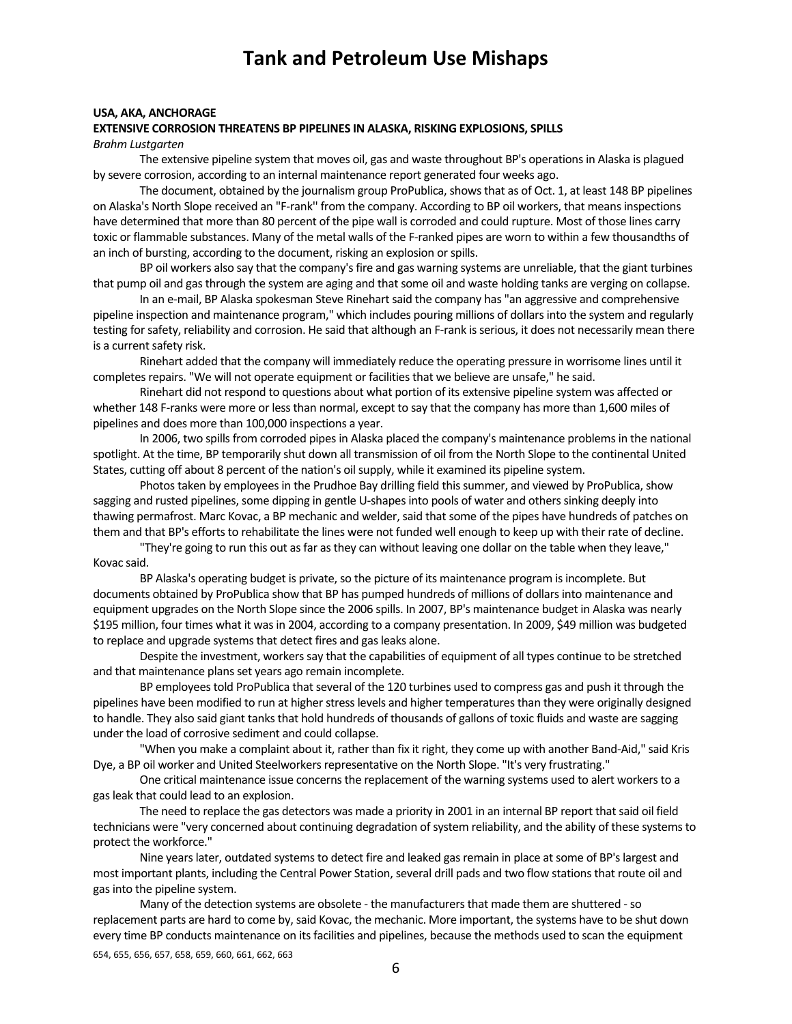#### **USA, AKA, ANCHORAGE**

#### **EXTENSIVE CORROSION THREATENS BP PIPELINES IN ALASKA, RISKING EXPLOSIONS, SPILLS**

#### *Brahm Lustgarten*

The extensive pipeline system that moves oil, gas and waste throughout BP's operationsin Alaska is plagued by severe corrosion, according to an internal maintenance report generated four weeks ago.

The document, obtained by the journalism group ProPublica, shows that as of Oct. 1, at least 148 BP pipelines on Alaska's North Slope received an "F-rank" from the company. According to BP oil workers, that means inspections have determined that more than 80 percent of the pipe wall is corroded and could rupture. Most of those lines carry toxic or flammable substances. Many of the metal walls of the F-ranked pipes are worn to within a few thousandths of an inch of bursting, according to the document, risking an explosion or spills.

BP oil workers also say that the company's fire and gas warning systems are unreliable, that the giant turbines that pump oil and gas through the system are aging and that some oil and waste holding tanks are verging on collapse.

In an e-mail, BP Alaska spokesman Steve Rinehart said the company has "an aggressive and comprehensive pipeline inspection and maintenance program," which includes pouring millions of dollarsinto the system and regularly testing for safety, reliability and corrosion. He said that although an F-rank is serious, it does not necessarily mean there is a current safety risk.

Rinehart added that the company will immediately reduce the operating pressure in worrisome lines until it completes repairs. "We will not operate equipment or facilities that we believe are unsafe," he said.

Rinehart did not respond to questions about what portion of its extensive pipeline system was affected or whether 148 F-ranks were more or less than normal, except to say that the company has more than 1,600 miles of pipelines and does more than 100,000 inspections a year.

In 2006, two spills from corroded pipes in Alaska placed the company's maintenance problems in the national spotlight. At the time, BP temporarily shut down all transmission of oil from the North Slope to the continental United States, cutting off about 8 percent of the nation's oilsupply, while it examined its pipeline system.

Photos taken by employees in the Prudhoe Bay drilling field this summer, and viewed by ProPublica, show sagging and rusted pipelines, some dipping in gentle U-shapes into pools of water and others sinking deeply into thawing permafrost. Marc Kovac, a BP mechanic and welder, said that some of the pipes have hundreds of patches on them and that BP's efforts to rehabilitate the lines were not funded well enough to keep up with their rate of decline.

"They're going to run this out as far as they can without leaving one dollar on the table when they leave," Kovac said.

BP Alaska's operating budget is private, so the picture of its maintenance program is incomplete. But documents obtained by ProPublica show that BP has pumped hundreds of millions of dollars into maintenance and equipment upgrades on the North Slope since the 2006 spills. In 2007, BP's maintenance budget in Alaska was nearly \$195 million, four times what it was in 2004, according to a company presentation. In 2009, \$49 million was budgeted to replace and upgrade systems that detect fires and gas leaks alone.

Despite the investment, workers say that the capabilities of equipment of all types continue to be stretched and that maintenance plans set years ago remain incomplete.

BP employees told ProPublica that several of the 120 turbines used to compress gas and push it through the pipelines have been modified to run at higher stress levels and higher temperatures than they were originally designed to handle. They also said giant tanks that hold hundreds of thousands of gallons of toxic fluids and waste are sagging under the load of corrosive sediment and could collapse.

"When you make a complaint about it, rather than fix it right, they come up with another Band‐Aid," said Kris Dye, a BP oil worker and United Steelworkers representative on the North Slope. "It's very frustrating."

One critical maintenance issue concerns the replacement of the warning systems used to alert workers to a gas leak that could lead to an explosion.

The need to replace the gas detectors was made a priority in 2001 in an internal BP report that said oil field technicians were "very concerned about continuing degradation of system reliability, and the ability of these systems to protect the workforce."

Nine years later, outdated systems to detect fire and leaked gas remain in place at some of BP's largest and most important plants, including the Central Power Station, several drill pads and two flow stations that route oil and gas into the pipeline system.

Many of the detection systems are obsolete - the manufacturers that made them are shuttered - so replacement parts are hard to come by, said Kovac, the mechanic. More important, the systems have to be shut down every time BP conducts maintenance on its facilities and pipelines, because the methods used to scan the equipment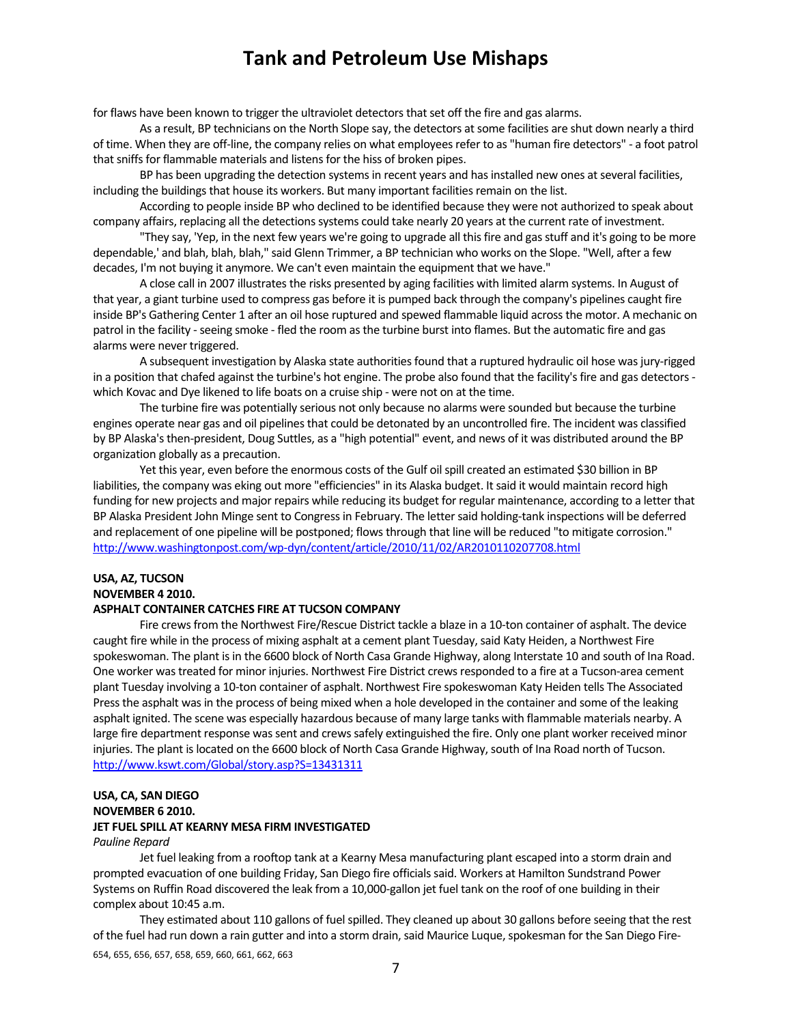for flaws have been known to trigger the ultraviolet detectors that set off the fire and gas alarms.

As a result, BP technicians on the North Slope say, the detectors at some facilities are shut down nearly a third of time. When they are off‐line, the company relies on what employeesrefer to as "human fire detectors" ‐ a foot patrol that sniffs for flammable materials and listens for the hiss of broken pipes.

BP has been upgrading the detection systems in recent years and has installed new ones at several facilities, including the buildings that house its workers. But many important facilities remain on the list.

According to people inside BP who declined to be identified because they were not authorized to speak about company affairs, replacing all the detections systems could take nearly 20 years at the current rate of investment.

"They say, 'Yep, in the next few years we're going to upgrade all this fire and gas stuff and it's going to be more dependable,' and blah, blah, blah," said Glenn Trimmer, a BP technician who works on the Slope. "Well, after a few decades, I'm not buying it anymore. We can't even maintain the equipment that we have."

A close call in 2007 illustrates the risks presented by aging facilities with limited alarm systems. In August of that year, a giant turbine used to compress gas before it is pumped back through the company's pipelines caught fire inside BP's Gathering Center 1 after an oil hose ruptured and spewed flammable liquid acrossthe motor. A mechanic on patrol in the facility - seeing smoke - fled the room as the turbine burst into flames. But the automatic fire and gas alarms were never triggered.

A subsequent investigation by Alaska state authorities found that a ruptured hydraulic oil hose was jury-rigged in a position that chafed against the turbine's hot engine. The probe also found that the facility's fire and gas detectors which Kovac and Dye likened to life boats on a cruise ship - were not on at the time.

The turbine fire was potentially serious not only because no alarms were sounded but because the turbine engines operate near gas and oil pipelines that could be detonated by an uncontrolled fire. The incident was classified by BP Alaska's then-president, Doug Suttles, as a "high potential" event, and news of it was distributed around the BP organization globally as a precaution.

Yet this year, even before the enormous costs of the Gulf oil spill created an estimated \$30 billion in BP liabilities, the company was eking out more "efficiencies" in its Alaska budget. It said it would maintain record high funding for new projects and major repairs while reducing its budget for regular maintenance, according to a letter that BP Alaska President John Minge sent to Congress in February. The letter said holding-tank inspections will be deferred and replacement of one pipeline will be postponed; flows through that line will be reduced "to mitigate corrosion." http://www.washingtonpost.com/wp‐dyn/content/article/2010/11/02/AR2010110207708.html

### **USA, AZ, TUCSON NOVEMBER 4 2010.**

#### **ASPHALT CONTAINER CATCHES FIRE AT TUCSON COMPANY**

Fire crews from the Northwest Fire/Rescue District tackle a blaze in a 10-ton container of asphalt. The device caught fire while in the process of mixing asphalt at a cement plant Tuesday, said Katy Heiden, a Northwest Fire spokeswoman. The plant is in the 6600 block of North Casa Grande Highway, along Interstate 10 and south of Ina Road. One worker was treated for minor injuries. Northwest Fire District crews responded to a fire at a Tucson-area cement plant Tuesday involving a 10‐ton container of asphalt. Northwest Fire spokeswoman Katy Heiden tells The Associated Press the asphalt was in the process of being mixed when a hole developed in the container and some of the leaking asphalt ignited. The scene was especially hazardous because of many large tanks with flammable materials nearby. A large fire department response was sent and crews safely extinguished the fire. Only one plant worker received minor injuries. The plant islocated on the 6600 block of North Casa Grande Highway,south of Ina Road north of Tucson. http://www.kswt.com/Global/story.asp?S=13431311

#### **USA, CA, SAN DIEGO NOVEMBER 6 2010. JET FUEL SPILL AT KEARNY MESA FIRM INVESTIGATED**

#### *Pauline Repard*

Jet fuel leaking from a rooftop tank at a Kearny Mesa manufacturing plant escaped into a storm drain and prompted evacuation of one building Friday, San Diego fire officialssaid. Workers at Hamilton Sundstrand Power Systems on Ruffin Road discovered the leak from a 10,000-gallon jet fuel tank on the roof of one building in their complex about 10:45 a.m.

654, 655, 656, 657, 658, 659, 660, 661, 662, 663 They estimated about 110 gallons of fuel spilled. They cleaned up about 30 gallons before seeing that the rest of the fuel had run down a rain gutter and into a storm drain, said Maurice Luque, spokesman for the San Diego Fire-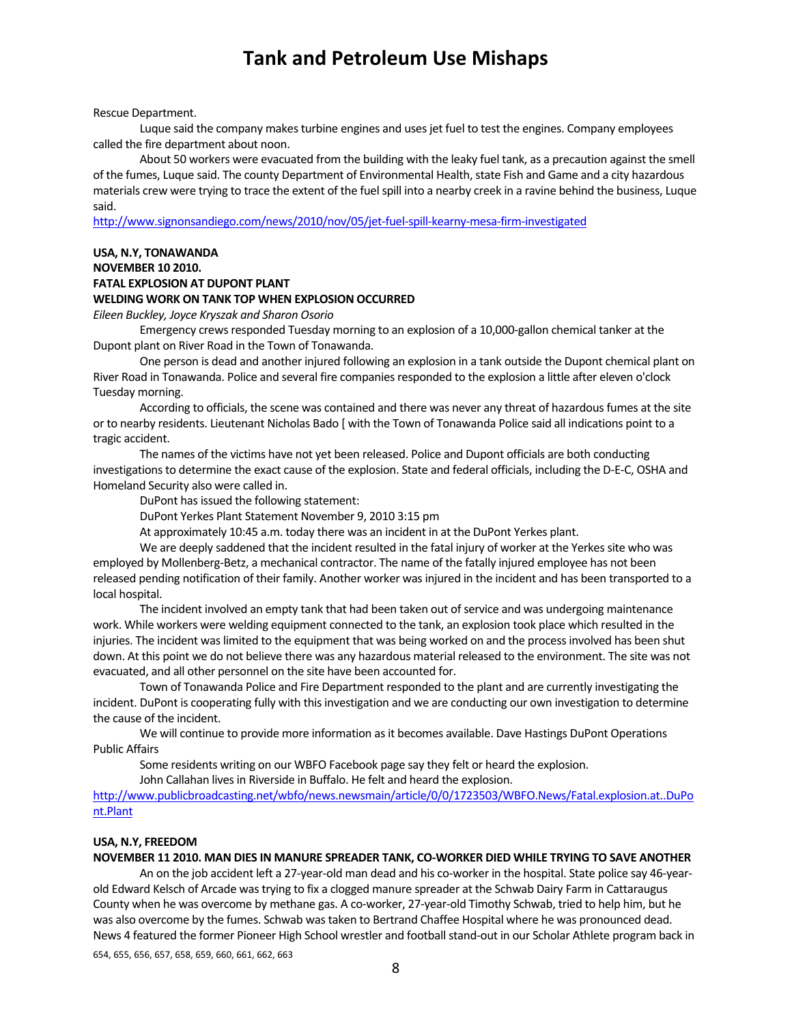#### Rescue Department.

Luque said the company makes turbine engines and uses jet fuel to test the engines. Company employees called the fire department about noon.

About 50 workers were evacuated from the building with the leaky fuel tank, as a precaution against the smell of the fumes, Luque said. The county Department of Environmental Health, state Fish and Game and a city hazardous materials crew were trying to trace the extent of the fuelspill into a nearby creek in a ravine behind the business, Luque said.

http://www.signonsandiego.com/news/2010/nov/05/jet-fuel-spill-kearny-mesa-firm-investigated

#### **USA, N.Y, TONAWANDA NOVEMBER 10 2010. FATAL EXPLOSION AT DUPONT PLANT WELDING WORK ON TANK TOP WHEN EXPLOSION OCCURRED**

*Eileen Buckley, Joyce Kryszak and Sharon Osorio*

Emergency crews responded Tuesday morning to an explosion of a 10,000-gallon chemical tanker at the Dupont plant on River Road in the Town of Tonawanda.

One person is dead and another injured following an explosion in a tank outside the Dupont chemical plant on River Road in Tonawanda. Police and several fire companies responded to the explosion a little after eleven o'clock Tuesday morning.

According to officials, the scene was contained and there was never any threat of hazardous fumes at the site or to nearby residents. Lieutenant Nicholas Bado [ with the Town of Tonawanda Police said all indications point to a tragic accident.

The names of the victims have not yet been released. Police and Dupont officials are both conducting investigations to determine the exact cause of the explosion. State and federal officials, including the D-E-C, OSHA and Homeland Security also were called in.

DuPont has issued the following statement:

DuPont Yerkes Plant Statement November 9, 2010 3:15 pm

At approximately 10:45 a.m. today there was an incident in at the DuPont Yerkes plant.

We are deeply saddened that the incident resulted in the fatal injury of worker at the Yerkessite who was employed by Mollenberg‐Betz, a mechanical contractor. The name of the fatally injured employee has not been released pending notification of their family. Another worker wasinjured in the incident and has been transported to a local hospital.

The incident involved an empty tank that had been taken out of service and was undergoing maintenance work. While workers were welding equipment connected to the tank, an explosion took place which resulted in the injuries. The incident was limited to the equipment that was being worked on and the process involved has been shut down. At this point we do not believe there was any hazardous material released to the environment. The site was not evacuated, and all other personnel on the site have been accounted for.

Town of Tonawanda Police and Fire Department responded to the plant and are currently investigating the incident. DuPont is cooperating fully with this investigation and we are conducting our own investigation to determine the cause of the incident.

We will continue to provide more information as it becomes available. Dave Hastings DuPont Operations Public Affairs

Some residents writing on our WBFO Facebook page say they felt or heard the explosion.

John Callahan lives in Riverside in Buffalo. He felt and heard the explosion.

http://www.publicbroadcasting.net/wbfo/news.newsmain/article/0/0/1723503/WBFO.News/Fatal.explosion.at..DuPo nt.Plant

#### **USA, N.Y, FREEDOM**

#### **NOVEMBER 11 2010. MAN DIES IN MANURE SPREADER TANK, CO‐WORKER DIED WHILE TRYING TO SAVE ANOTHER**

An on the job accident left a 27‐year‐old man dead and his co‐worker in the hospital. State police say 46‐year‐ old Edward Kelsch of Arcade wastrying to fix a clogged manure spreader at the Schwab Dairy Farm in Cattaraugus County when he was overcome by methane gas. A co‐worker, 27‐year‐old Timothy Schwab, tried to help him, but he was also overcome by the fumes. Schwab wastaken to Bertrand Chaffee Hospital where he was pronounced dead. News 4 featured the former Pioneer High School wrestler and footballstand‐out in our Scholar Athlete program back in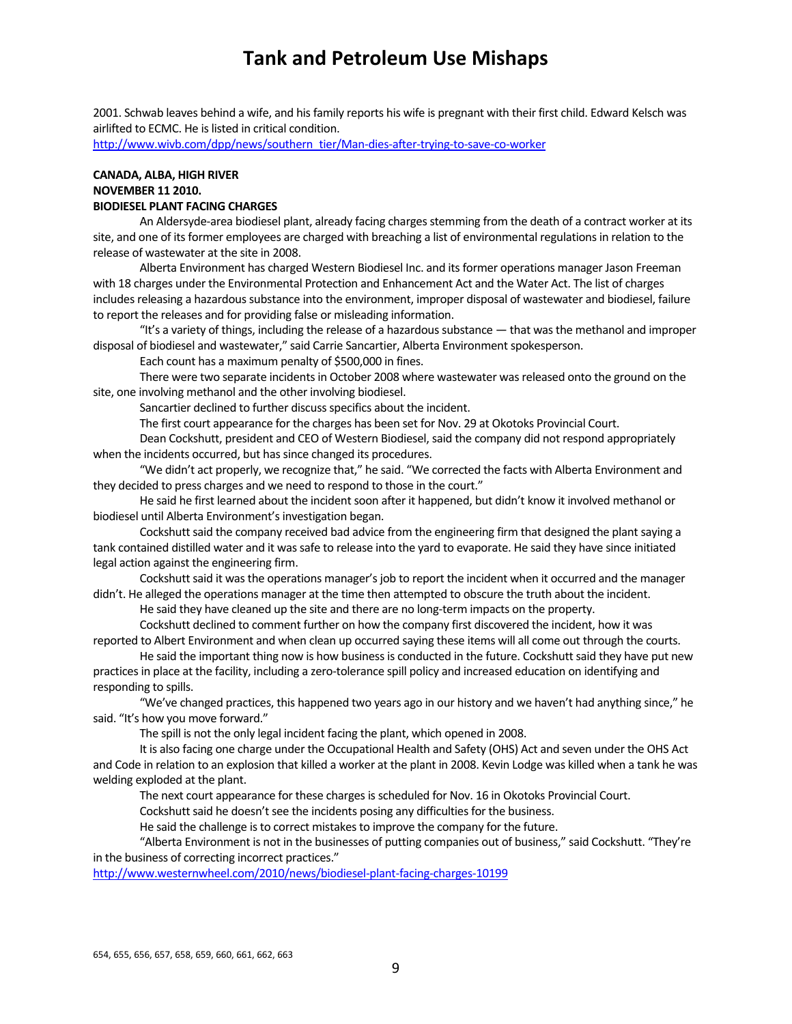2001. Schwab leaves behind a wife, and hisfamily reports his wife is pregnant with their first child. Edward Kelsch was airlifted to ECMC. He is listed in critical condition.

http://www.wivb.com/dpp/news/southern\_tier/Man-dies-after-trying-to-save-co-worker

#### **CANADA, ALBA, HIGH RIVER NOVEMBER 11 2010. BIODIESEL PLANT FACING CHARGES**

An Aldersyde-area biodiesel plant, already facing charges stemming from the death of a contract worker at its site, and one of its former employees are charged with breaching a list of environmental regulations in relation to the release of wastewater at the site in 2008.

Alberta Environment has charged Western Biodiesel Inc. and itsformer operations manager Jason Freeman with 18 charges under the Environmental Protection and Enhancement Act and the Water Act. The list of charges includes releasing a hazardous substance into the environment, improper disposal of wastewater and biodiesel, failure to report the releases and for providing false or misleading information.

"It's a variety of things, including the release of a hazardoussubstance — that wasthe methanol and improper disposal of biodiesel and wastewater," said Carrie Sancartier, Alberta Environment spokesperson.

Each count has a maximum penalty of \$500,000 in fines.

There were two separate incidents in October 2008 where wastewater was released onto the ground on the site, one involving methanol and the other involving biodiesel.

Sancartier declined to further discuss specifics about the incident.

The first court appearance for the charges has been set for Nov. 29 at Okotoks Provincial Court.

Dean Cockshutt, president and CEO of Western Biodiesel, said the company did not respond appropriately when the incidents occurred, but has since changed its procedures.

"We didn't act properly, we recognize that," he said. "We corrected the facts with Alberta Environment and they decided to press charges and we need to respond to those in the court."

He said he first learned about the incident soon after it happened, but didn't know it involved methanol or biodiesel until Alberta Environment's investigation began.

Cockshutt said the company received bad advice from the engineering firm that designed the plant saying a tank contained distilled water and it was safe to release into the yard to evaporate. He said they have since initiated legal action against the engineering firm.

Cockshutt said it was the operations manager's job to report the incident when it occurred and the manager didn't. He alleged the operations manager at the time then attempted to obscure the truth about the incident.

He said they have cleaned up the site and there are no long-term impacts on the property.

Cockshutt declined to comment further on how the company first discovered the incident, how it was reported to Albert Environment and when clean up occurred saying these items will all come out through the courts. He said the important thing now is how business is conducted in the future. Cockshutt said they have put new

practices in place at the facility, including a zero-tolerance spill policy and increased education on identifying and responding to spills.

"We've changed practices, this happened two years ago in our history and we haven't had anything since," he said. "It's how you move forward."

The spill is not the only legal incident facing the plant, which opened in 2008.

It is also facing one charge under the Occupational Health and Safety (OHS) Act and seven under the OHS Act and Code in relation to an explosion that killed a worker at the plant in 2008. Kevin Lodge was killed when a tank he was welding exploded at the plant.

The next court appearance for these charges is scheduled for Nov. 16 in Okotoks Provincial Court.

Cockshutt said he doesn't see the incidents posing any difficulties for the business.

He said the challenge is to correct mistakes to improve the company for the future.

"Alberta Environment is not in the businesses of putting companies out of business," said Cockshutt. "They're in the business of correcting incorrect practices."

http://www.westernwheel.com/2010/news/biodiesel-plant-facing-charges-10199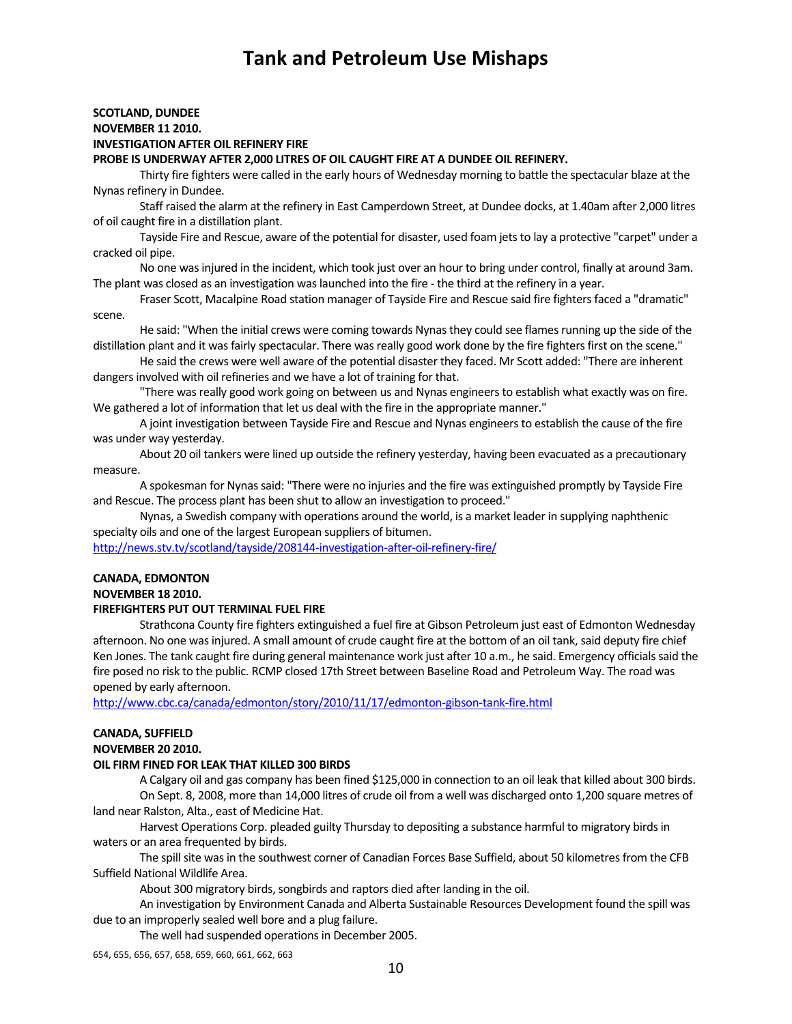### **SCOTLAND, DUNDEE NOVEMBER 11 2010. INVESTIGATION AFTER OIL REFINERY FIRE PROBE IS UNDERWAY AFTER 2,000 LITRES OF OIL CAUGHT FIRE AT A DUNDEE OIL REFINERY.**

Thirty fire fighters were called in the early hours of Wednesday morning to battle the spectacular blaze at the Nynas refinery in Dundee.

Staff raised the alarm at the refinery in East Camperdown Street, at Dundee docks, at 1.40am after 2,000 litres of oil caught fire in a distillation plant.

Tayside Fire and Rescue, aware of the potential for disaster, used foam jetsto lay a protective "carpet" under a cracked oil pipe.

No one wasinjured in the incident, which took just over an hour to bring under control, finally at around 3am. The plant was closed as an investigation was launched into the fire - the third at the refinery in a year.

Fraser Scott, Macalpine Road station manager of Tayside Fire and Rescue said fire fightersfaced a "dramatic" scene.

He said: "When the initial crews were coming towards Nynas they could see flames running up the side of the distillation plant and it was fairly spectacular. There was really good work done by the fire fighters first on the scene."

He said the crews were well aware of the potential disaster they faced. Mr Scott added: "There are inherent dangers involved with oil refineries and we have a lot of training for that.

"There was really good work going on between us and Nynas engineers to establish what exactly was on fire. We gathered a lot of information that let us deal with the fire in the appropriate manner."

A joint investigation between Tayside Fire and Rescue and Nynas engineers to establish the cause of the fire was under way yesterday.

About 20 oil tankers were lined up outside the refinery yesterday, having been evacuated as a precautionary measure.

A spokesman for Nynassaid: "There were no injuries and the fire was extinguished promptly by Tayside Fire and Rescue. The process plant has been shut to allow an investigation to proceed."

Nynas, a Swedish company with operations around the world, is a market leader in supplying naphthenic specialty oils and one of the largest European suppliers of bitumen.

http://news.stv.tv/scotland/tayside/208144-investigation-after-oil-refinery-fire/

#### **CANADA, EDMONTON NOVEMBER 18 2010.**

### **FIREFIGHTERS PUT OUT TERMINAL FUEL FIRE**

Strathcona County fire fighters extinguished a fuel fire at Gibson Petroleum just east of Edmonton Wednesday afternoon. No one was injured. A small amount of crude caught fire at the bottom of an oil tank, said deputy fire chief Ken Jones. The tank caught fire during general maintenance work just after 10 a.m., he said. Emergency officialssaid the fire posed no risk to the public. RCMP closed 17th Street between Baseline Road and Petroleum Way. The road was opened by early afternoon.

http://www.cbc.ca/canada/edmonton/story/2010/11/17/edmonton‐gibson‐tank‐fire.html

### **CANADA, SUFFIELD**

#### **NOVEMBER 20 2010.**

#### **OIL FIRM FINED FOR LEAK THAT KILLED 300 BIRDS**

A Calgary oil and gas company has been fined \$125,000 in connection to an oil leak that killed about 300 birds.

On Sept. 8, 2008, more than 14,000 litres of crude oil from a well was discharged onto 1,200 square metres of land near Ralston, Alta., east of Medicine Hat.

Harvest Operations Corp. pleaded guilty Thursday to depositing a substance harmful to migratory birdsin waters or an area frequented by birds.

The spill site was in the southwest corner of Canadian Forces Base Suffield, about 50 kilometres from the CFB Suffield National Wildlife Area.

About 300 migratory birds, songbirds and raptors died after landing in the oil.

An investigation by Environment Canada and Alberta Sustainable Resources Development found the spill was due to an improperly sealed well bore and a plug failure.

The well had suspended operations in December 2005.